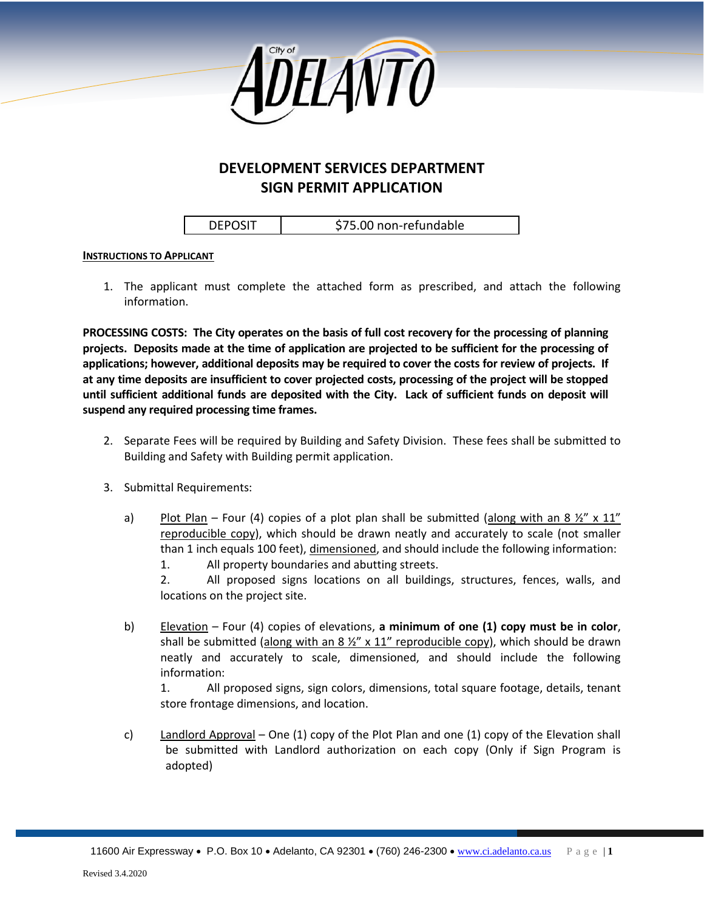

## **DEVELOPMENT SERVICES DEPARTMENT SIGN PERMIT APPLICATION**

DEPOSIT | \$75.00 non-refundable

## **INSTRUCTIONS TO APPLICANT**

1. The applicant must complete the attached form as prescribed, and attach the following information.

**PROCESSING COSTS: The City operates on the basis of full cost recovery for the processing of planning projects. Deposits made at the time of application are projected to be sufficient for the processing of applications; however, additional deposits may be required to cover the costs for review of projects. If at any time deposits are insufficient to cover projected costs, processing of the project will be stopped until sufficient additional funds are deposited with the City. Lack of sufficient funds on deposit will suspend any required processing time frames.**

- 2. Separate Fees will be required by Building and Safety Division. These fees shall be submitted to Building and Safety with Building permit application.
- 3. Submittal Requirements:
	- a) Plot Plan Four (4) copies of a plot plan shall be submitted (along with an 8  $\frac{1}{2}$ " x 11" reproducible copy), which should be drawn neatly and accurately to scale (not smaller than 1 inch equals 100 feet), dimensioned, and should include the following information: 1. All property boundaries and abutting streets.

2. All proposed signs locations on all buildings, structures, fences, walls, and locations on the project site.

b) Elevation – Four (4) copies of elevations, **a minimum of one (1) copy must be in color**, shall be submitted (along with an 8  $\frac{1}{2}$ " x 11" reproducible copy), which should be drawn neatly and accurately to scale, dimensioned, and should include the following information:

1. All proposed signs, sign colors, dimensions, total square footage, details, tenant store frontage dimensions, and location.

c) Landlord Approval – One (1) copy of the Plot Plan and one (1) copy of the Elevation shall be submitted with Landlord authorization on each copy (Only if Sign Program is adopted)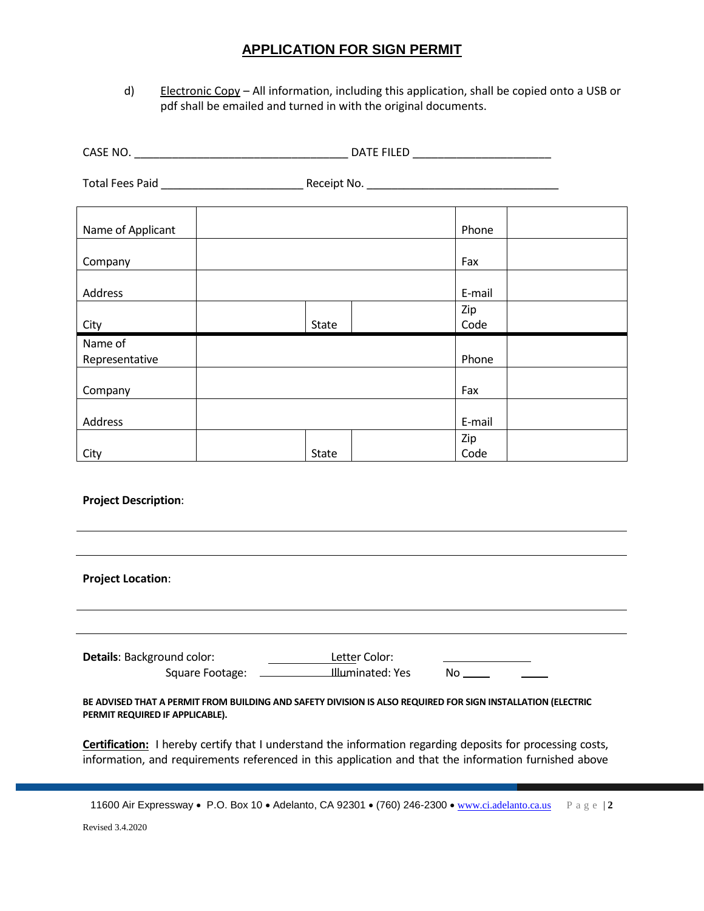## **APPLICATION FOR SIGN PERMIT**

d) Electronic Copy - All information, including this application, shall be copied onto a USB or pdf shall be emailed and turned in with the original documents.

| Name of Applicant               |                                                                                                             | Phone                 |
|---------------------------------|-------------------------------------------------------------------------------------------------------------|-----------------------|
| Company                         |                                                                                                             | Fax                   |
| <b>Address</b>                  | State                                                                                                       | E-mail<br>Zip<br>Code |
| City<br>Name of                 |                                                                                                             |                       |
| Representative                  |                                                                                                             | Phone                 |
| Company                         |                                                                                                             | Fax                   |
| Address                         |                                                                                                             | E-mail                |
| City                            | <b>State</b>                                                                                                | Zip<br>Code           |
| <b>Project Description:</b>     |                                                                                                             |                       |
| <b>Project Location:</b>        |                                                                                                             |                       |
| Details: Background color:      | Letter Color:                                                                                               |                       |
| PERMIT REQUIRED IF APPLICABLE). | BE ADVISED THAT A PERMIT FROM BUILDING AND SAFETY DIVISION IS ALSO REQUIRED FOR SIGN INSTALLATION (ELECTRIC |                       |

**Certification:** I hereby certify that I understand the information regarding deposits for processing costs, information, and requirements referenced in this application and that the information furnished above

11600 Air Expressway • P.O. Box 10 • Adelanto, CA 92301 • (760) 246-2300 • [www.ci.adelanto.ca.us](http://www.ci.adelanto.ca.us/) Page | 2

Revised 3.4.2020